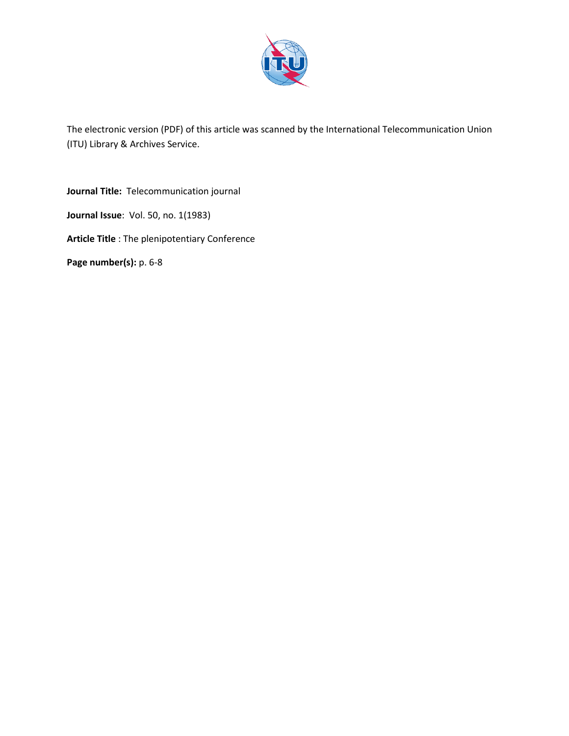

The electronic version (PDF) of this article was scanned by the International Telecommunication Union (ITU) Library & Archives Service.

**Journal Title:** Telecommunication journal **Journal Issue**: Vol. 50, no. 1(1983) **Article Title** : The plenipotentiary Conference **Page number(s):** p. 6-8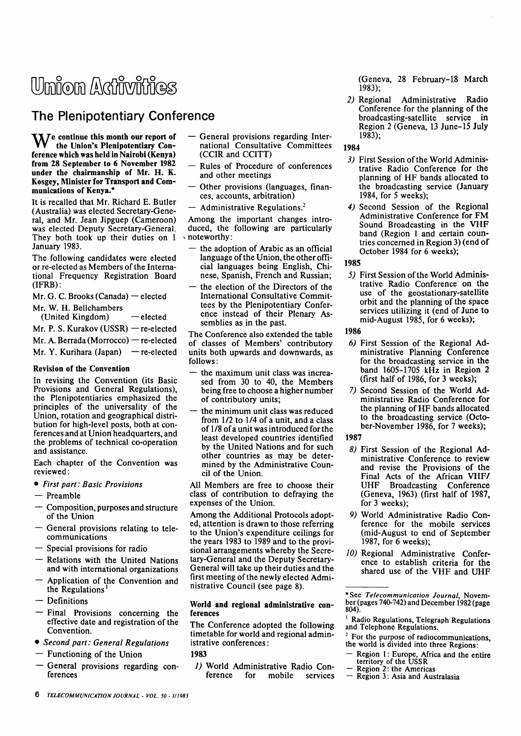# Union Activities

# **The Plenipotentiary Conference**

 $\mathbf{W}^{\epsilon}$  continue this month our report of the Union's Plenipotentiary Conference which was held in Nairobi (Kenya) from 28 September to 6 November 1982 under the chairmanship of Mr. H. K. Kosgey, Minister for Transport and Communications of Kenya.\*

It is recalled that Mr. Richard E. Butler (Australia) was elected Secretary-General, and Mr. Jean Jipguep (Cameroon) was elected Deputy Secretary-General. They both took up their duties on 1 January 1983.

The following candidates were elected or re-elected as Members of the International Frequency Registration Board (IFRB):

- Mr. G. C. Brooks (Canada) elected
- Mr. W. H. Bellchambers
	- (United Kingdom) elected
- Mr. P. S. Kurakov (USSR) re-elected
- Mr. A. Berrada (Morrocco) re-elected
- Mr. Y. Kurihara (Japan) re-elected

# Revision of the Convention

In revising the Convention (its Basic Provisions and General Regulations), the Plenipotentiaries emphasized the principles of the universality of the Union, rotation and geographical distribution for high-level posts, both at conferences and at Union headquarters, and the problems of technical co-operation and assistance.

Each chapter of the Convention was reviewed:

- • *First part: Basic Provisions*
- Preamble
- Composition, purposes and structure of the Union
- General provisions relating to telecommunications
- Special provisions for radio
- Relations with the United Nations and with international organizations
- Application of the Convention and the Regulations'
- Definitions
- Final Provisions concerning the effective date and registration of the Convention.
- • *Second part: General Regulations*
- *—* Functioning of the Union
- General provisions regarding conferences
- General provisions regarding International Consultative Committees (CCIR and CCITT)
- Rules of Procedure of conferences and other meetings
- Other provisions (languages, finances, accounts, arbitration)
- Administrative Regulations.<sup>2</sup>

Among the important changes introduced, the following are particularly noteworthy:

- the adoption of Arabic as an official language of the Union, the other official languages being English, Chinese, Spanish, French and Russian;
- the election of the Directors of the International Consultative Committees by the Plenipotentiary Conference instead of their Plenary Assemblies as in the past.

The Conference also extended the table of classes of Members' contributory units both upwards and downwards, as follows:

- the maximum unit class was increased from 30 to 40, the Members being free to choose a higher number of contributory units;
- the minimum unit class was reduced from 1/2 to 1/4 of a unit, and a class of 1/8 of a unit was introduced for the least developed countries identified by the United Nations and for such other countries as may be determined by the Administrative Council of the Union.

All Members are free to choose their class of contribution to defraying the expenses of the Union.

Among the Additional Protocols adopted, attention is drawn to those referring to the Union's expenditure ceilings for the years 1983 to 1989 and to the provisional arrangements whereby the Secretary-General and the Deputy Secretary-General will take up their duties and the first meeting of the newly elected Administrative Council (see page 8).

## World and regional administrative conferences

The Conference adopted the following timetable for world and regional administrative conferences:

1983

*1)* World Administrative Radio Conservices (Geneva, 28 February-18 March 1983);

*2)* Regional Administrative Radio Conference for the planning of the broadcasting-satellite service in Region 2 (Geneva, 13 June-15 July 1983);

# 1984

- *3)* First Session of the World Administrative Radio Conference for the planning of HF bands allocated to the broadcasting service (January 1984, for 5 weeks);
- *4)* Second Session of the Regional Administrative Conference for FM Sound Broadcasting in the VHF band (Region 1 and certain countries concerned in Region 3) (end of October 1984 for 6 weeks);

1985

*5)* First Session of the World Administrative Radio Conference on the use of the geostationary-satellite orbit and the planning of the space services utilizing it (end of June to mid-August 1985, for 6 weeks);

#### 1986

- *6)* First Session of the Regional Administrative Planning Conference for the broadcasting service in the band 1605-1705 kHz in Region 2 (first half of 1986, for 3 weeks);
- *7)* Second Session of the World Administrative Radio Conference for the planning of HF bands allocated to the broadcasting service (October-November 1986, for 7 weeks);

#### 1987

- *8)* First Session of the Regional Administrative Conference to review and revise the Provisions of the Final Acts of the African VHF/ UHF Broadcasting Conference (Geneva, 1963) (first half of 1987, for 3 weeks);
- *9)* World Administrative Radio Conference for the mobile services (mid-August to end of September 1987, for 6 weeks);
- *10)* Regional Administrative Conference to establish criteria for the shared use of the VHF and UHF

- Region 1: Europe, Africa and the entire territory of the USSR
- Region 2: the Americas
- Region 3: Asia and Australasia

<sup>\*</sup>See *Telecommunication Journal,* November (pages 740-742) and December 1982 (page 804).

<sup>&</sup>lt;sup>1</sup> Radio Regulations, Telegraph Regulations and Telephone Regulations.

<sup>&</sup>lt;sup>2</sup> For the purpose of radiocommunications, the world is divided into three Regions: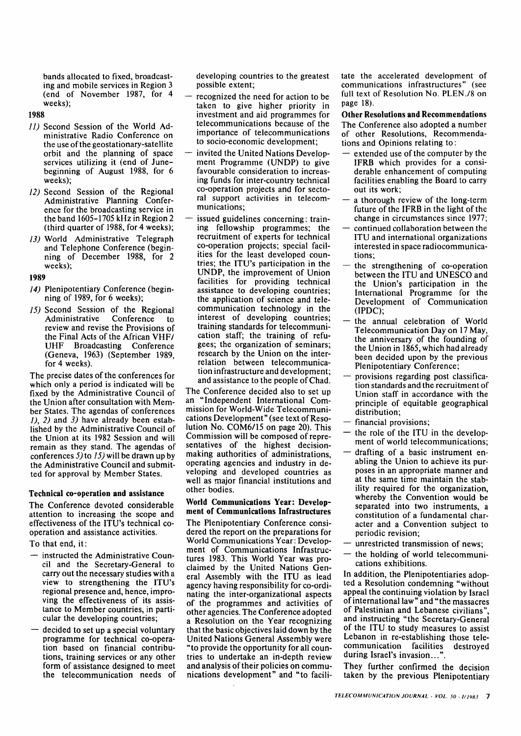bands allocated to fixed, broadcasting and mobile services in Region 3 (end of November 1987, for 4 weeks);

#### **1988**

- *11)* Second Session of the World Administrative Radio Conference on the use of the geostationary-satellite orbit and the planning of space services utilizing it (end of Junebeginning of August 1988, for 6 weeks);
- *12)* Second Session of the Regional Administrative Planning Conference for the broadcasting service in the band 1605-1705 kHz in Region 2 (third quarter of 1988, for 4 weeks);
- *13)* World Administrative Telegraph and Telephone Conference (beginning of December 1988, for 2 weeks);

**1989** 

- *14)* Plenipotentiary Conference (beginning of 1989, for 6 weeks);
- *15)* Second Session of the Regional Administrative Conference to review and revise the Provisions of the Final Acts of the African VHF/ UHF Broadcasting Conference (Geneva, 1963) (September 1989, for 4 weeks).

The precise dates of the conferences for which only a period is indicated will be fixed by the Administrative Council of the Union after consultation with Member States. The agendas of conferences *1), 2)* and *3)* have already been established by the Administrative Council of the Union at its 1982 Session and will remain as they stand. The agendas of conferences *5)* to *15)* will be drawn up by the Administrative Council and submitted for approval by Member States.

#### **Technical co-operation and assistance**

The Conference devoted considerable attention to increasing the scope and effectiveness of the ITU's technical cooperation and assistance activities.

To that end, it:

- instructed the Administrative Council and the Secretary-General to carry out the necessary studies with a view to strengthening the ITU's regional presence and, hence, improving the effectiveness of its assistance to Member countries, in particular the developing countries;
- $-$  decided to set up a special voluntary programme for technical co-operation based on financial contributions, training services or any other form of assistance designed to meet the telecommunication needs of

developing countries to the greatest possible extent;

- recognized the need for action to be taken to give higher priority in investment and aid programmes for telecommunications because of the importance of telecommunications to socio-economic development;
- invited the United Nations Development Programme (UNDP) to give favourable consideration to increasing funds for inter-country technical co-operation projects and for sectoral support activities in telecommunications;
- issued guidelines concerning: training fellowship programmes; the recruitment of experts for technical co-operation projects; special facilities for the least developed countries; the ITU's participation in the UNDP, the improvement of Union facilities for providing technical assistance to developing countries; the application of science and telecommunication technology in the interest of developing countries; training standards for telecommunication staff; the training of refugees; the organization of seminars; research by the Union on the interrelation between telecommunication infrastructure and development; and assistance to the people of Chad.

The Conference decided also to set up an "Independent International Commission for World-Wide Telecommunications Development" (see text of Resolution No. COM6/15 on page 20). This Commission will be composed of representatives of the highest decisionmaking authorities of administrations, operating agencies and industry in developing and developed countries as well as major financial institutions and other bodies.

#### **World Communications Year: Development of Communications Infrastructures**

The Plenipotentiary Conference considered the report on the preparations for World Communications Year: Development of Communications Infrastructures 1983. This World Year was proclaimed by the United Nations General Assembly with the ITU as lead agency having responsibility for co-ordinating the inter-organizational aspects of the programmes and activities of other agencies. The Conference adopted a Resolution on the Year recognizing that the basic objectives laid down by the United Nations General Assembly were "to provide the opportunity for all countries to undertake an in-depth review and analysis of their policies on communications development" and "to facilitate the accelerated development of communications infrastructures" (see full text of Resolution No. PLEN./8 on page 18).

**Other Resolutions and Recommendations**  The Conference also adopted a number of other Resolutions, Recommendations and Opinions relating to:

- extended use of the computer by the IFRB which provides for a considerable enhancement of computing facilities enabling the Board to carry out its work;
- $-$  a thorough review of the long-term future of the IFRB in the light of the change in circumstances since 1977;
- continued collaboration between the ITU and international organizations interested in space radiocommunications;
- the strengthening of co-operation between the ITU and UNESCO and the Union's participation in the International Programme for the Development of Communication (IPDC);
- the annual celebration of World Telecommunication Day on 17 May, the anniversary of the founding of the Union in 1865, which had already been decided upon by the previous Plenipotentiary Conference;
- provisions regarding post classification standards and the recruitment of Union staff in accordance with the principle of equitable geographical distribution;
- $-$  financial provisions;
- the role of the ITU in the development of world telecommunications;
- drafting of a basic instrument enabling the Union to achieve its purposes in an appropriate manner and at the same time maintain the stability required for the organization, whereby the Convention would be separated into two instruments, a constitution of a fundamental character and a Convention subject to periodic revision;
- unrestricted transmission of news;
- the holding of world telecommunications exhibitions.

In addition, the Plenipotentiaries adopted a Resolution condemning "without appeal the continuing violation by Israel ofinternational law" and "the massacres of Palestinian and Lebanese civilians", and instructing "the Secretary-General of the ITU to study measures to assist Lebanon in re-establishing those telecommunication facilities destroyed during Israel's invasion...".

They further confirmed the decision taken by the previous Plenipotentiary